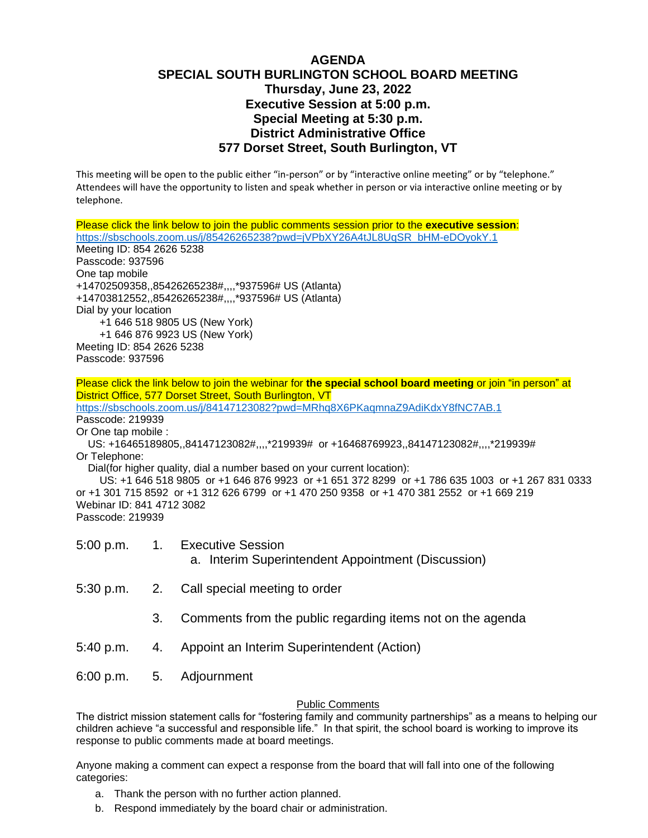## **AGENDA SPECIAL SOUTH BURLINGTON SCHOOL BOARD MEETING Thursday, June 23, 2022 Executive Session at 5:00 p.m. Special Meeting at 5:30 p.m. District Administrative Office 577 Dorset Street, South Burlington, VT**

This meeting will be open to the public either "in-person" or by "interactive online meeting" or by "telephone." Attendees will have the opportunity to listen and speak whether in person or via interactive online meeting or by telephone.

Please click the link below to join the public comments session prior to the **executive session**: [https://sbschools.zoom.us/j/85426265238?pwd=jVPbXY26A4tJL8UqSR\\_bHM-eDOyokY.1](https://sbschools.zoom.us/j/85426265238?pwd=jVPbXY26A4tJL8UqSR_bHM-eDOyokY.1) Meeting ID: 854 2626 5238 Passcode: 937596 One tap mobile +14702509358,,85426265238#,,,,\*937596# US (Atlanta) +14703812552,,85426265238#,,,,\*937596# US (Atlanta) Dial by your location +1 646 518 9805 US (New York) +1 646 876 9923 US (New York) Meeting ID: 854 2626 5238 Passcode: 937596

Please click the link below to join the webinar for **the special school board meeting** or join "in person" at District Office, 577 Dorset Street, South Burlington, VT <https://sbschools.zoom.us/j/84147123082?pwd=MRhq8X6PKaqmnaZ9AdiKdxY8fNC7AB.1> Passcode: 219939 Or One tap mobile : US: +16465189805,,84147123082#,,,,\*219939# or +16468769923,,84147123082#,,,,\*219939# Or Telephone: Dial(for higher quality, dial a number based on your current location): US: +1 646 518 9805 or +1 646 876 9923 or +1 651 372 8299 or +1 786 635 1003 or +1 267 831 0333 or +1 301 715 8592 or +1 312 626 6799 or +1 470 250 9358 or +1 470 381 2552 or +1 669 219 Webinar ID: 841 4712 3082 Passcode: 219939

5:00 p.m. 1. Executive Session a. Interim Superintendent Appointment (Discussion)

- 5:30 p.m. 2. Call special meeting to order
	- 3. Comments from the public regarding items not on the agenda
- 5:40 p.m. 4. Appoint an Interim Superintendent (Action)
- 6:00 p.m. 5. Adjournment

## Public Comments

The district mission statement calls for "fostering family and community partnerships" as a means to helping our children achieve "a successful and responsible life." In that spirit, the school board is working to improve its response to public comments made at board meetings.

Anyone making a comment can expect a response from the board that will fall into one of the following categories:

- a. Thank the person with no further action planned.
- b. Respond immediately by the board chair or administration.